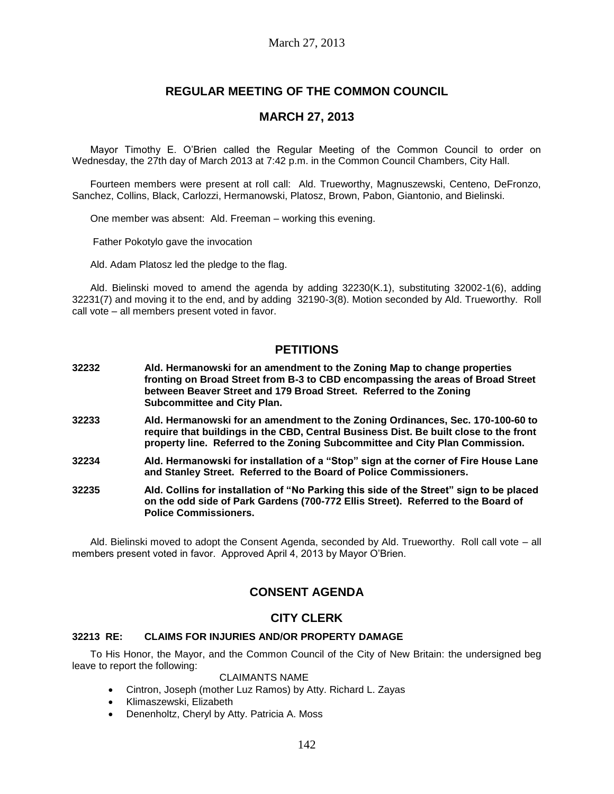# **REGULAR MEETING OF THE COMMON COUNCIL**

# **MARCH 27, 2013**

Mayor Timothy E. O'Brien called the Regular Meeting of the Common Council to order on Wednesday, the 27th day of March 2013 at 7:42 p.m. in the Common Council Chambers, City Hall.

Fourteen members were present at roll call: Ald. Trueworthy, Magnuszewski, Centeno, DeFronzo, Sanchez, Collins, Black, Carlozzi, Hermanowski, Platosz, Brown, Pabon, Giantonio, and Bielinski.

One member was absent: Ald. Freeman – working this evening.

Father Pokotylo gave the invocation

Ald. Adam Platosz led the pledge to the flag.

Ald. Bielinski moved to amend the agenda by adding 32230(K.1), substituting 32002-1(6), adding 32231(7) and moving it to the end, and by adding 32190-3(8). Motion seconded by Ald. Trueworthy. Roll call vote – all members present voted in favor.

# **PETITIONS**

- **32232 Ald. Hermanowski for an amendment to the Zoning Map to change properties fronting on Broad Street from B-3 to CBD encompassing the areas of Broad Street between Beaver Street and 179 Broad Street. Referred to the Zoning Subcommittee and City Plan.**
- **32233 Ald. Hermanowski for an amendment to the Zoning Ordinances, Sec. 170-100-60 to require that buildings in the CBD, Central Business Dist. Be built close to the front property line. Referred to the Zoning Subcommittee and City Plan Commission.**
- **32234 Ald. Hermanowski for installation of a "Stop" sign at the corner of Fire House Lane and Stanley Street. Referred to the Board of Police Commissioners.**
- **32235 Ald. Collins for installation of "No Parking this side of the Street" sign to be placed on the odd side of Park Gardens (700-772 Ellis Street). Referred to the Board of Police Commissioners.**

Ald. Bielinski moved to adopt the Consent Agenda, seconded by Ald. Trueworthy. Roll call vote – all members present voted in favor. Approved April 4, 2013 by Mayor O'Brien.

# **CONSENT AGENDA**

# **CITY CLERK**

## **32213 RE: CLAIMS FOR INJURIES AND/OR PROPERTY DAMAGE**

To His Honor, the Mayor, and the Common Council of the City of New Britain: the undersigned beg leave to report the following:

## CLAIMANTS NAME

- Cintron, Joseph (mother Luz Ramos) by Atty. Richard L. Zayas
- Klimaszewski, Elizabeth
- Denenholtz, Cheryl by Atty. Patricia A. Moss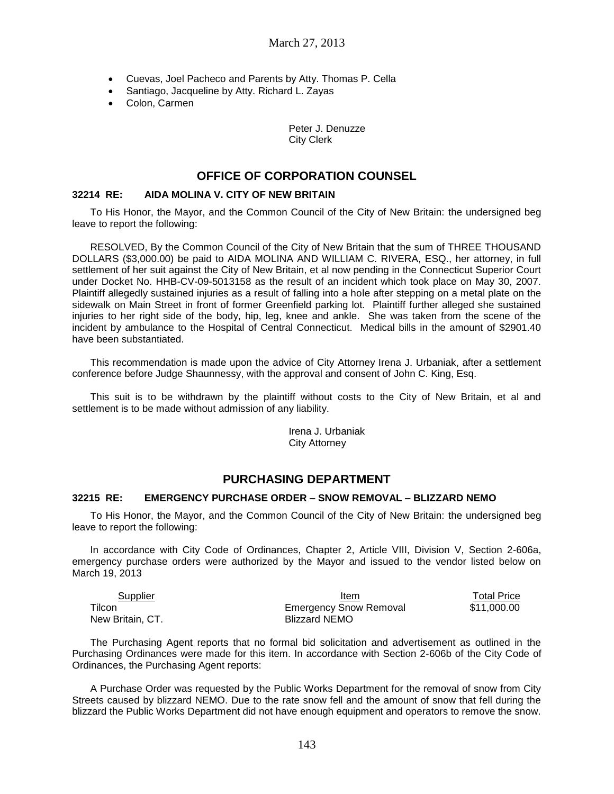- Cuevas, Joel Pacheco and Parents by Atty. Thomas P. Cella
- Santiago, Jacqueline by Atty. Richard L. Zayas
- Colon, Carmen

Peter J. Denuzze City Clerk

# **OFFICE OF CORPORATION COUNSEL**

### **32214 RE: AIDA MOLINA V. CITY OF NEW BRITAIN**

To His Honor, the Mayor, and the Common Council of the City of New Britain: the undersigned beg leave to report the following:

RESOLVED, By the Common Council of the City of New Britain that the sum of THREE THOUSAND DOLLARS (\$3,000.00) be paid to AIDA MOLINA AND WILLIAM C. RIVERA, ESQ., her attorney, in full settlement of her suit against the City of New Britain, et al now pending in the Connecticut Superior Court under Docket No. HHB-CV-09-5013158 as the result of an incident which took place on May 30, 2007. Plaintiff allegedly sustained injuries as a result of falling into a hole after stepping on a metal plate on the sidewalk on Main Street in front of former Greenfield parking lot. Plaintiff further alleged she sustained injuries to her right side of the body, hip, leg, knee and ankle. She was taken from the scene of the incident by ambulance to the Hospital of Central Connecticut. Medical bills in the amount of \$2901.40 have been substantiated.

This recommendation is made upon the advice of City Attorney Irena J. Urbaniak, after a settlement conference before Judge Shaunnessy, with the approval and consent of John C. King, Esq.

This suit is to be withdrawn by the plaintiff without costs to the City of New Britain, et al and settlement is to be made without admission of any liability.

> Irena J. Urbaniak City Attorney

# **PURCHASING DEPARTMENT**

#### **32215 RE: EMERGENCY PURCHASE ORDER – SNOW REMOVAL – BLIZZARD NEMO**

To His Honor, the Mayor, and the Common Council of the City of New Britain: the undersigned beg leave to report the following:

In accordance with City Code of Ordinances, Chapter 2, Article VIII, Division V, Section 2-606a, emergency purchase orders were authorized by the Mayor and issued to the vendor listed below on March 19, 2013

| Supplier         | Item                          | Total Price |
|------------------|-------------------------------|-------------|
| Tilcon           | <b>Emergency Snow Removal</b> | \$11.000.00 |
| New Britain, CT. | Blizzard NEMO                 |             |

The Purchasing Agent reports that no formal bid solicitation and advertisement as outlined in the Purchasing Ordinances were made for this item. In accordance with Section 2-606b of the City Code of Ordinances, the Purchasing Agent reports:

A Purchase Order was requested by the Public Works Department for the removal of snow from City Streets caused by blizzard NEMO. Due to the rate snow fell and the amount of snow that fell during the blizzard the Public Works Department did not have enough equipment and operators to remove the snow.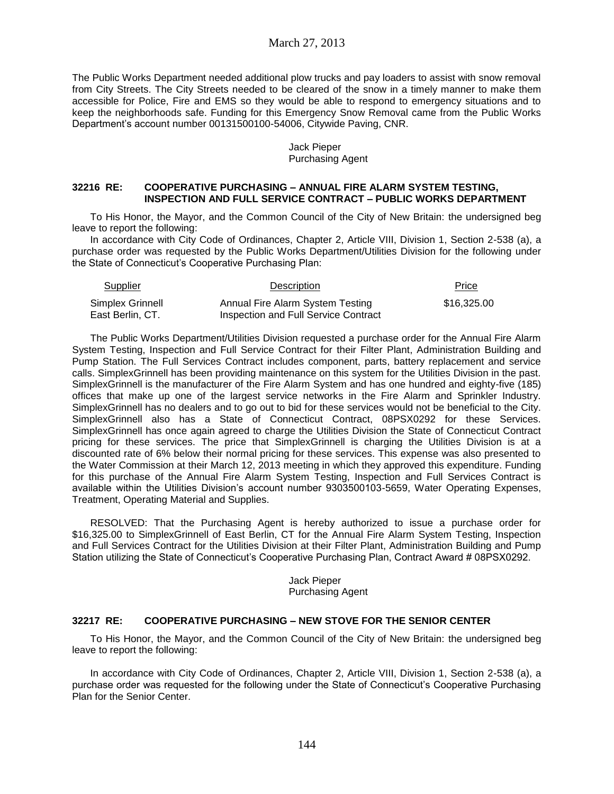The Public Works Department needed additional plow trucks and pay loaders to assist with snow removal from City Streets. The City Streets needed to be cleared of the snow in a timely manner to make them accessible for Police, Fire and EMS so they would be able to respond to emergency situations and to keep the neighborhoods safe. Funding for this Emergency Snow Removal came from the Public Works Department's account number 00131500100-54006, Citywide Paving, CNR.

> Jack Pieper Purchasing Agent

### **32216 RE: COOPERATIVE PURCHASING – ANNUAL FIRE ALARM SYSTEM TESTING, INSPECTION AND FULL SERVICE CONTRACT – PUBLIC WORKS DEPARTMENT**

To His Honor, the Mayor, and the Common Council of the City of New Britain: the undersigned beg leave to report the following:

In accordance with City Code of Ordinances, Chapter 2, Article VIII, Division 1, Section 2-538 (a), a purchase order was requested by the Public Works Department/Utilities Division for the following under the State of Connecticut's Cooperative Purchasing Plan:

| <b>Supplier</b><br>Description |                                      | Price       |
|--------------------------------|--------------------------------------|-------------|
| Simplex Grinnell               | Annual Fire Alarm System Testing     | \$16.325.00 |
| East Berlin, CT.               | Inspection and Full Service Contract |             |

The Public Works Department/Utilities Division requested a purchase order for the Annual Fire Alarm System Testing, Inspection and Full Service Contract for their Filter Plant, Administration Building and Pump Station. The Full Services Contract includes component, parts, battery replacement and service calls. SimplexGrinnell has been providing maintenance on this system for the Utilities Division in the past. SimplexGrinnell is the manufacturer of the Fire Alarm System and has one hundred and eighty-five (185) offices that make up one of the largest service networks in the Fire Alarm and Sprinkler Industry. SimplexGrinnell has no dealers and to go out to bid for these services would not be beneficial to the City. SimplexGrinnell also has a State of Connecticut Contract, 08PSX0292 for these Services. SimplexGrinnell has once again agreed to charge the Utilities Division the State of Connecticut Contract pricing for these services. The price that SimplexGrinnell is charging the Utilities Division is at a discounted rate of 6% below their normal pricing for these services. This expense was also presented to the Water Commission at their March 12, 2013 meeting in which they approved this expenditure. Funding for this purchase of the Annual Fire Alarm System Testing, Inspection and Full Services Contract is available within the Utilities Division's account number 9303500103-5659, Water Operating Expenses, Treatment, Operating Material and Supplies.

RESOLVED: That the Purchasing Agent is hereby authorized to issue a purchase order for \$16,325.00 to SimplexGrinnell of East Berlin, CT for the Annual Fire Alarm System Testing, Inspection and Full Services Contract for the Utilities Division at their Filter Plant, Administration Building and Pump Station utilizing the State of Connecticut's Cooperative Purchasing Plan, Contract Award # 08PSX0292.

> Jack Pieper Purchasing Agent

### **32217 RE: COOPERATIVE PURCHASING – NEW STOVE FOR THE SENIOR CENTER**

To His Honor, the Mayor, and the Common Council of the City of New Britain: the undersigned beg leave to report the following:

In accordance with City Code of Ordinances, Chapter 2, Article VIII, Division 1, Section 2-538 (a), a purchase order was requested for the following under the State of Connecticut's Cooperative Purchasing Plan for the Senior Center.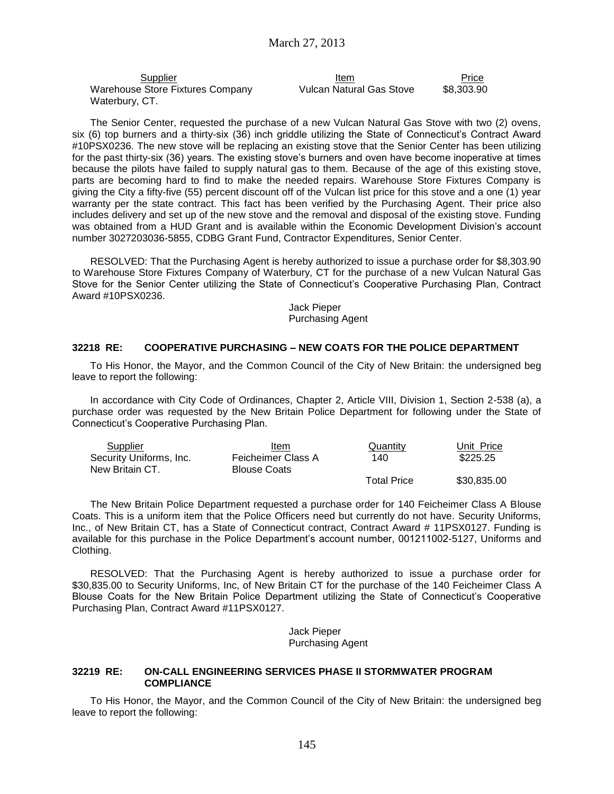| Supplier                         | Item                     | Price      |
|----------------------------------|--------------------------|------------|
| Warehouse Store Fixtures Company | Vulcan Natural Gas Stove | \$8.303.90 |
| Waterbury, CT.                   |                          |            |

The Senior Center, requested the purchase of a new Vulcan Natural Gas Stove with two (2) ovens, six (6) top burners and a thirty-six (36) inch griddle utilizing the State of Connecticut's Contract Award #10PSX0236. The new stove will be replacing an existing stove that the Senior Center has been utilizing for the past thirty-six (36) years. The existing stove's burners and oven have become inoperative at times because the pilots have failed to supply natural gas to them. Because of the age of this existing stove, parts are becoming hard to find to make the needed repairs. Warehouse Store Fixtures Company is giving the City a fifty-five (55) percent discount off of the Vulcan list price for this stove and a one (1) year warranty per the state contract. This fact has been verified by the Purchasing Agent. Their price also includes delivery and set up of the new stove and the removal and disposal of the existing stove. Funding was obtained from a HUD Grant and is available within the Economic Development Division's account number 3027203036-5855, CDBG Grant Fund, Contractor Expenditures, Senior Center.

RESOLVED: That the Purchasing Agent is hereby authorized to issue a purchase order for \$8,303.90 to Warehouse Store Fixtures Company of Waterbury, CT for the purchase of a new Vulcan Natural Gas Stove for the Senior Center utilizing the State of Connecticut's Cooperative Purchasing Plan, Contract Award #10PSX0236.

> Jack Pieper Purchasing Agent

### **32218 RE: COOPERATIVE PURCHASING – NEW COATS FOR THE POLICE DEPARTMENT**

To His Honor, the Mayor, and the Common Council of the City of New Britain: the undersigned beg leave to report the following:

In accordance with City Code of Ordinances, Chapter 2, Article VIII, Division 1, Section 2-538 (a), a purchase order was requested by the New Britain Police Department for following under the State of Connecticut's Cooperative Purchasing Plan.

| Supplier                | Item                | Quantity           | Unit Price  |
|-------------------------|---------------------|--------------------|-------------|
| Security Uniforms, Inc. | Feicheimer Class A  | 140                | \$225.25    |
| New Britain CT.         | <b>Blouse Coats</b> |                    |             |
|                         |                     | <b>Total Price</b> | \$30,835.00 |

The New Britain Police Department requested a purchase order for 140 Feicheimer Class A Blouse Coats. This is a uniform item that the Police Officers need but currently do not have. Security Uniforms, Inc., of New Britain CT, has a State of Connecticut contract, Contract Award # 11PSX0127. Funding is available for this purchase in the Police Department's account number, 001211002-5127, Uniforms and Clothing.

RESOLVED: That the Purchasing Agent is hereby authorized to issue a purchase order for \$30,835.00 to Security Uniforms, Inc, of New Britain CT for the purchase of the 140 Feicheimer Class A Blouse Coats for the New Britain Police Department utilizing the State of Connecticut's Cooperative Purchasing Plan, Contract Award #11PSX0127.

> Jack Pieper Purchasing Agent

#### **32219 RE: ON-CALL ENGINEERING SERVICES PHASE II STORMWATER PROGRAM COMPLIANCE**

To His Honor, the Mayor, and the Common Council of the City of New Britain: the undersigned beg leave to report the following: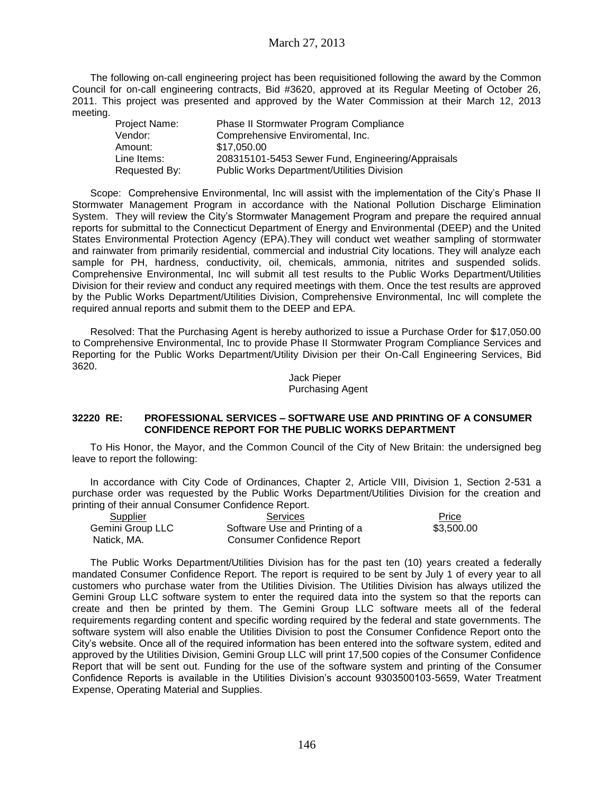The following on-call engineering project has been requisitioned following the award by the Common Council for on-call engineering contracts, Bid #3620, approved at its Regular Meeting of October 26, 2011. This project was presented and approved by the Water Commission at their March 12, 2013 meeting.

| Project Name: | Phase II Stormwater Program Compliance            |
|---------------|---------------------------------------------------|
| Vendor:       | Comprehensive Enviromental, Inc.                  |
| Amount:       | \$17.050.00                                       |
| Line Items:   | 208315101-5453 Sewer Fund, Engineering/Appraisals |
| Requested By: | Public Works Department/Utilities Division        |

Scope: Comprehensive Environmental, Inc will assist with the implementation of the City's Phase II Stormwater Management Program in accordance with the National Pollution Discharge Elimination System. They will review the City's Stormwater Management Program and prepare the required annual reports for submittal to the Connecticut Department of Energy and Environmental (DEEP) and the United States Environmental Protection Agency (EPA).They will conduct wet weather sampling of stormwater and rainwater from primarily residential, commercial and industrial City locations. They will analyze each sample for PH, hardness, conductivity, oil, chemicals, ammonia, nitrites and suspended solids. Comprehensive Environmental, Inc will submit all test results to the Public Works Department/Utilities Division for their review and conduct any required meetings with them. Once the test results are approved by the Public Works Department/Utilities Division, Comprehensive Environmental, Inc will complete the required annual reports and submit them to the DEEP and EPA.

Resolved: That the Purchasing Agent is hereby authorized to issue a Purchase Order for \$17,050.00 to Comprehensive Environmental, Inc to provide Phase II Stormwater Program Compliance Services and Reporting for the Public Works Department/Utility Division per their On-Call Engineering Services, Bid 3620.

> Jack Pieper Purchasing Agent

### **32220 RE: PROFESSIONAL SERVICES – SOFTWARE USE AND PRINTING OF A CONSUMER CONFIDENCE REPORT FOR THE PUBLIC WORKS DEPARTMENT**

To His Honor, the Mayor, and the Common Council of the City of New Britain: the undersigned beg leave to report the following:

In accordance with City Code of Ordinances, Chapter 2, Article VIII, Division 1, Section 2-531 a purchase order was requested by the Public Works Department/Utilities Division for the creation and printing of their annual Consumer Confidence Report.

| Supplier         | Services                       | Price      |
|------------------|--------------------------------|------------|
| Gemini Group LLC | Software Use and Printing of a | \$3,500.00 |
| Natick, MA.      | Consumer Confidence Report     |            |

The Public Works Department/Utilities Division has for the past ten (10) years created a federally mandated Consumer Confidence Report. The report is required to be sent by July 1 of every year to all customers who purchase water from the Utilities Division. The Utilities Division has always utilized the Gemini Group LLC software system to enter the required data into the system so that the reports can create and then be printed by them. The Gemini Group LLC software meets all of the federal requirements regarding content and specific wording required by the federal and state governments. The software system will also enable the Utilities Division to post the Consumer Confidence Report onto the City's website. Once all of the required information has been entered into the software system, edited and approved by the Utilities Division, Gemini Group LLC will print 17,500 copies of the Consumer Confidence Report that will be sent out. Funding for the use of the software system and printing of the Consumer Confidence Reports is available in the Utilities Division's account 9303500103-5659, Water Treatment Expense, Operating Material and Supplies.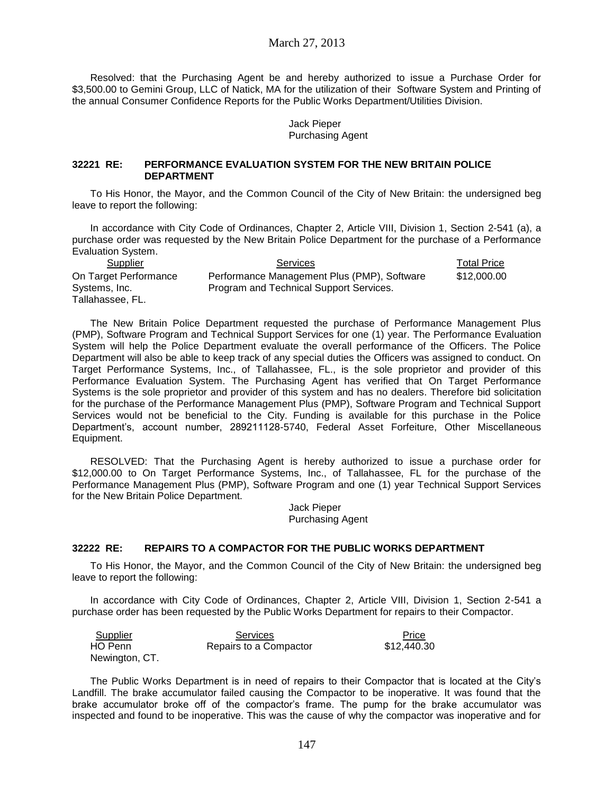March 27, 2013

Resolved: that the Purchasing Agent be and hereby authorized to issue a Purchase Order for \$3,500.00 to Gemini Group, LLC of Natick, MA for the utilization of their Software System and Printing of the annual Consumer Confidence Reports for the Public Works Department/Utilities Division.

#### Jack Pieper Purchasing Agent

### **32221 RE: PERFORMANCE EVALUATION SYSTEM FOR THE NEW BRITAIN POLICE DEPARTMENT**

To His Honor, the Mayor, and the Common Council of the City of New Britain: the undersigned beg leave to report the following:

In accordance with City Code of Ordinances, Chapter 2, Article VIII, Division 1, Section 2-541 (a), a purchase order was requested by the New Britain Police Department for the purchase of a Performance Evaluation System.

| Supplier              | <b>Services</b>                             | <b>Total Price</b> |
|-----------------------|---------------------------------------------|--------------------|
| On Target Performance | Performance Management Plus (PMP), Software | \$12,000.00        |
| Systems, Inc.         | Program and Technical Support Services.     |                    |
| Tallahassee, FL.      |                                             |                    |

The New Britain Police Department requested the purchase of Performance Management Plus (PMP), Software Program and Technical Support Services for one (1) year. The Performance Evaluation System will help the Police Department evaluate the overall performance of the Officers. The Police Department will also be able to keep track of any special duties the Officers was assigned to conduct. On Target Performance Systems, Inc., of Tallahassee, FL., is the sole proprietor and provider of this Performance Evaluation System. The Purchasing Agent has verified that On Target Performance Systems is the sole proprietor and provider of this system and has no dealers. Therefore bid solicitation for the purchase of the Performance Management Plus (PMP), Software Program and Technical Support Services would not be beneficial to the City. Funding is available for this purchase in the Police Department's, account number, 289211128-5740, Federal Asset Forfeiture, Other Miscellaneous Equipment.

RESOLVED: That the Purchasing Agent is hereby authorized to issue a purchase order for \$12,000.00 to On Target Performance Systems, Inc., of Tallahassee, FL for the purchase of the Performance Management Plus (PMP), Software Program and one (1) year Technical Support Services for the New Britain Police Department.

> Jack Pieper Purchasing Agent

### **32222 RE: REPAIRS TO A COMPACTOR FOR THE PUBLIC WORKS DEPARTMENT**

To His Honor, the Mayor, and the Common Council of the City of New Britain: the undersigned beg leave to report the following:

In accordance with City Code of Ordinances, Chapter 2, Article VIII, Division 1, Section 2-541 a purchase order has been requested by the Public Works Department for repairs to their Compactor.

| <u>Supplier</u> | Services               | Price       |
|-----------------|------------------------|-------------|
| HO Penn         | Repairs to a Compactor | \$12,440.30 |
| Newington, CT.  |                        |             |

The Public Works Department is in need of repairs to their Compactor that is located at the City's Landfill. The brake accumulator failed causing the Compactor to be inoperative. It was found that the brake accumulator broke off of the compactor's frame. The pump for the brake accumulator was inspected and found to be inoperative. This was the cause of why the compactor was inoperative and for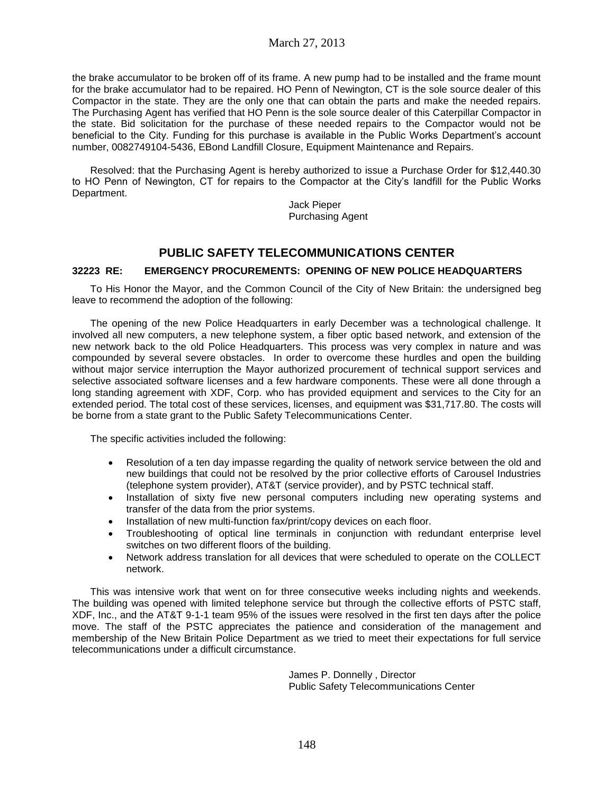the brake accumulator to be broken off of its frame. A new pump had to be installed and the frame mount for the brake accumulator had to be repaired. HO Penn of Newington, CT is the sole source dealer of this Compactor in the state. They are the only one that can obtain the parts and make the needed repairs. The Purchasing Agent has verified that HO Penn is the sole source dealer of this Caterpillar Compactor in the state. Bid solicitation for the purchase of these needed repairs to the Compactor would not be beneficial to the City. Funding for this purchase is available in the Public Works Department's account number, 0082749104-5436, EBond Landfill Closure, Equipment Maintenance and Repairs.

Resolved: that the Purchasing Agent is hereby authorized to issue a Purchase Order for \$12,440.30 to HO Penn of Newington, CT for repairs to the Compactor at the City's landfill for the Public Works Department.

Jack Pieper Purchasing Agent

# **PUBLIC SAFETY TELECOMMUNICATIONS CENTER**

## **32223 RE: EMERGENCY PROCUREMENTS: OPENING OF NEW POLICE HEADQUARTERS**

To His Honor the Mayor, and the Common Council of the City of New Britain: the undersigned beg leave to recommend the adoption of the following:

The opening of the new Police Headquarters in early December was a technological challenge. It involved all new computers, a new telephone system, a fiber optic based network, and extension of the new network back to the old Police Headquarters. This process was very complex in nature and was compounded by several severe obstacles. In order to overcome these hurdles and open the building without major service interruption the Mayor authorized procurement of technical support services and selective associated software licenses and a few hardware components. These were all done through a long standing agreement with XDF, Corp. who has provided equipment and services to the City for an extended period. The total cost of these services, licenses, and equipment was \$31,717.80. The costs will be borne from a state grant to the Public Safety Telecommunications Center.

The specific activities included the following:

- Resolution of a ten day impasse regarding the quality of network service between the old and new buildings that could not be resolved by the prior collective efforts of Carousel Industries (telephone system provider), AT&T (service provider), and by PSTC technical staff.
- Installation of sixty five new personal computers including new operating systems and transfer of the data from the prior systems.
- Installation of new multi-function fax/print/copy devices on each floor.
- Troubleshooting of optical line terminals in conjunction with redundant enterprise level switches on two different floors of the building.
- Network address translation for all devices that were scheduled to operate on the COLLECT network.

This was intensive work that went on for three consecutive weeks including nights and weekends. The building was opened with limited telephone service but through the collective efforts of PSTC staff, XDF, Inc., and the AT&T 9-1-1 team 95% of the issues were resolved in the first ten days after the police move. The staff of the PSTC appreciates the patience and consideration of the management and membership of the New Britain Police Department as we tried to meet their expectations for full service telecommunications under a difficult circumstance.

> James P. Donnelly , Director Public Safety Telecommunications Center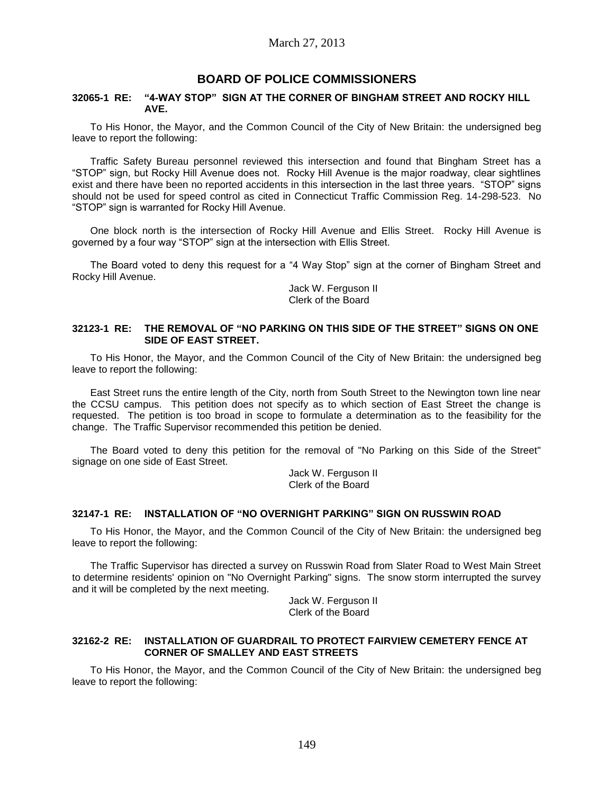# **BOARD OF POLICE COMMISSIONERS**

### **32065-1 RE: "4-WAY STOP" SIGN AT THE CORNER OF BINGHAM STREET AND ROCKY HILL AVE.**

To His Honor, the Mayor, and the Common Council of the City of New Britain: the undersigned beg leave to report the following:

Traffic Safety Bureau personnel reviewed this intersection and found that Bingham Street has a "STOP" sign, but Rocky Hill Avenue does not. Rocky Hill Avenue is the major roadway, clear sightlines exist and there have been no reported accidents in this intersection in the last three years. "STOP" signs should not be used for speed control as cited in Connecticut Traffic Commission Reg. 14-298-523. No "STOP" sign is warranted for Rocky Hill Avenue.

One block north is the intersection of Rocky Hill Avenue and Ellis Street. Rocky Hill Avenue is governed by a four way "STOP" sign at the intersection with Ellis Street.

The Board voted to deny this request for a "4 Way Stop" sign at the corner of Bingham Street and Rocky Hill Avenue.

> Jack W. Ferguson II Clerk of the Board

#### **32123-1 RE: THE REMOVAL OF "NO PARKING ON THIS SIDE OF THE STREET" SIGNS ON ONE SIDE OF EAST STREET.**

To His Honor, the Mayor, and the Common Council of the City of New Britain: the undersigned beg leave to report the following:

East Street runs the entire length of the City, north from South Street to the Newington town line near the CCSU campus. This petition does not specify as to which section of East Street the change is requested. The petition is too broad in scope to formulate a determination as to the feasibility for the change. The Traffic Supervisor recommended this petition be denied.

The Board voted to deny this petition for the removal of "No Parking on this Side of the Street" signage on one side of East Street.

> Jack W. Ferguson II Clerk of the Board

### **32147-1 RE: INSTALLATION OF "NO OVERNIGHT PARKING" SIGN ON RUSSWIN ROAD**

To His Honor, the Mayor, and the Common Council of the City of New Britain: the undersigned beg leave to report the following:

The Traffic Supervisor has directed a survey on Russwin Road from Slater Road to West Main Street to determine residents' opinion on "No Overnight Parking" signs. The snow storm interrupted the survey and it will be completed by the next meeting.

> Jack W. Ferguson II Clerk of the Board

### **32162-2 RE: INSTALLATION OF GUARDRAIL TO PROTECT FAIRVIEW CEMETERY FENCE AT CORNER OF SMALLEY AND EAST STREETS**

To His Honor, the Mayor, and the Common Council of the City of New Britain: the undersigned beg leave to report the following: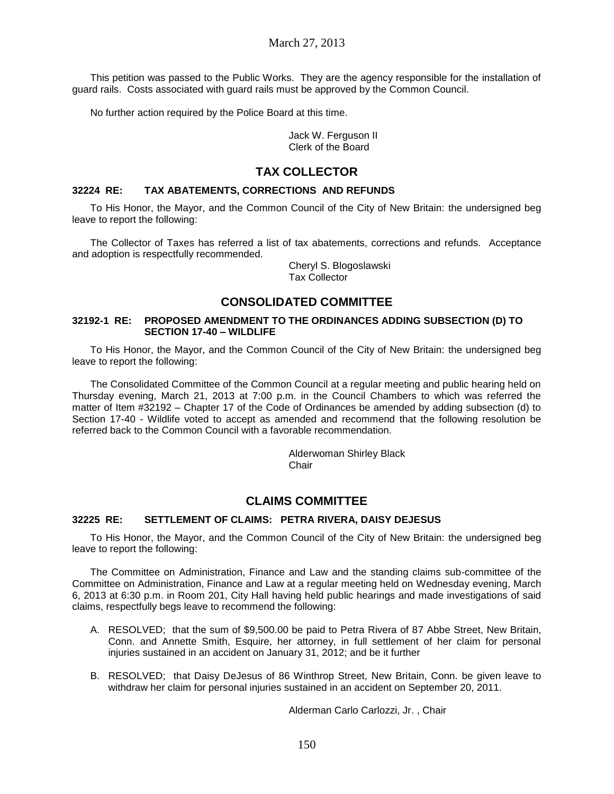This petition was passed to the Public Works. They are the agency responsible for the installation of guard rails. Costs associated with guard rails must be approved by the Common Council.

No further action required by the Police Board at this time.

Jack W. Ferguson II Clerk of the Board

# **TAX COLLECTOR**

## **32224 RE: TAX ABATEMENTS, CORRECTIONS AND REFUNDS**

To His Honor, the Mayor, and the Common Council of the City of New Britain: the undersigned beg leave to report the following:

The Collector of Taxes has referred a list of tax abatements, corrections and refunds. Acceptance and adoption is respectfully recommended.

> Cheryl S. Blogoslawski Tax Collector

# **CONSOLIDATED COMMITTEE**

### **32192-1 RE: PROPOSED AMENDMENT TO THE ORDINANCES ADDING SUBSECTION (D) TO SECTION 17-40 – WILDLIFE**

To His Honor, the Mayor, and the Common Council of the City of New Britain: the undersigned beg leave to report the following:

The Consolidated Committee of the Common Council at a regular meeting and public hearing held on Thursday evening, March 21, 2013 at 7:00 p.m. in the Council Chambers to which was referred the matter of Item #32192 – Chapter 17 of the Code of Ordinances be amended by adding subsection (d) to Section 17-40 - Wildlife voted to accept as amended and recommend that the following resolution be referred back to the Common Council with a favorable recommendation.

> Alderwoman Shirley Black **Chair**

# **CLAIMS COMMITTEE**

## **32225 RE: SETTLEMENT OF CLAIMS: PETRA RIVERA, DAISY DEJESUS**

To His Honor, the Mayor, and the Common Council of the City of New Britain: the undersigned beg leave to report the following:

The Committee on Administration, Finance and Law and the standing claims sub-committee of the Committee on Administration, Finance and Law at a regular meeting held on Wednesday evening, March 6, 2013 at 6:30 p.m. in Room 201, City Hall having held public hearings and made investigations of said claims, respectfully begs leave to recommend the following:

- A. RESOLVED; that the sum of \$9,500.00 be paid to Petra Rivera of 87 Abbe Street, New Britain, Conn. and Annette Smith, Esquire, her attorney, in full settlement of her claim for personal injuries sustained in an accident on January 31, 2012; and be it further
- B. RESOLVED; that Daisy DeJesus of 86 Winthrop Street, New Britain, Conn. be given leave to withdraw her claim for personal injuries sustained in an accident on September 20, 2011.

Alderman Carlo Carlozzi, Jr. , Chair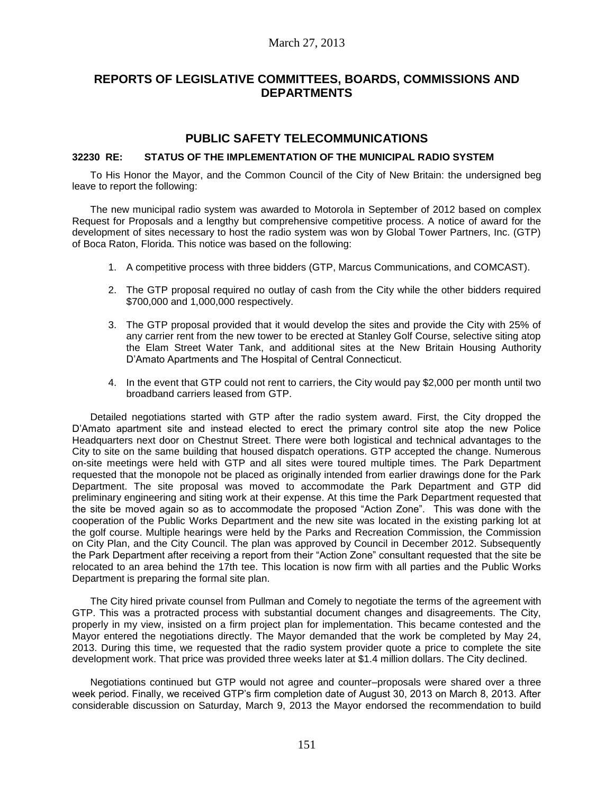# **REPORTS OF LEGISLATIVE COMMITTEES, BOARDS, COMMISSIONS AND DEPARTMENTS**

## **PUBLIC SAFETY TELECOMMUNICATIONS**

## **32230 RE: STATUS OF THE IMPLEMENTATION OF THE MUNICIPAL RADIO SYSTEM**

To His Honor the Mayor, and the Common Council of the City of New Britain: the undersigned beg leave to report the following:

The new municipal radio system was awarded to Motorola in September of 2012 based on complex Request for Proposals and a lengthy but comprehensive competitive process. A notice of award for the development of sites necessary to host the radio system was won by Global Tower Partners, Inc. (GTP) of Boca Raton, Florida. This notice was based on the following:

- 1. A competitive process with three bidders (GTP, Marcus Communications, and COMCAST).
- 2. The GTP proposal required no outlay of cash from the City while the other bidders required \$700,000 and 1,000,000 respectively.
- 3. The GTP proposal provided that it would develop the sites and provide the City with 25% of any carrier rent from the new tower to be erected at Stanley Golf Course, selective siting atop the Elam Street Water Tank, and additional sites at the New Britain Housing Authority D'Amato Apartments and The Hospital of Central Connecticut.
- 4. In the event that GTP could not rent to carriers, the City would pay \$2,000 per month until two broadband carriers leased from GTP.

Detailed negotiations started with GTP after the radio system award. First, the City dropped the D'Amato apartment site and instead elected to erect the primary control site atop the new Police Headquarters next door on Chestnut Street. There were both logistical and technical advantages to the City to site on the same building that housed dispatch operations. GTP accepted the change. Numerous on-site meetings were held with GTP and all sites were toured multiple times. The Park Department requested that the monopole not be placed as originally intended from earlier drawings done for the Park Department. The site proposal was moved to accommodate the Park Department and GTP did preliminary engineering and siting work at their expense. At this time the Park Department requested that the site be moved again so as to accommodate the proposed "Action Zone". This was done with the cooperation of the Public Works Department and the new site was located in the existing parking lot at the golf course. Multiple hearings were held by the Parks and Recreation Commission, the Commission on City Plan, and the City Council. The plan was approved by Council in December 2012. Subsequently the Park Department after receiving a report from their "Action Zone" consultant requested that the site be relocated to an area behind the 17th tee. This location is now firm with all parties and the Public Works Department is preparing the formal site plan.

The City hired private counsel from Pullman and Comely to negotiate the terms of the agreement with GTP. This was a protracted process with substantial document changes and disagreements. The City, properly in my view, insisted on a firm project plan for implementation. This became contested and the Mayor entered the negotiations directly. The Mayor demanded that the work be completed by May 24, 2013. During this time, we requested that the radio system provider quote a price to complete the site development work. That price was provided three weeks later at \$1.4 million dollars. The City declined.

Negotiations continued but GTP would not agree and counter–proposals were shared over a three week period. Finally, we received GTP's firm completion date of August 30, 2013 on March 8, 2013. After considerable discussion on Saturday, March 9, 2013 the Mayor endorsed the recommendation to build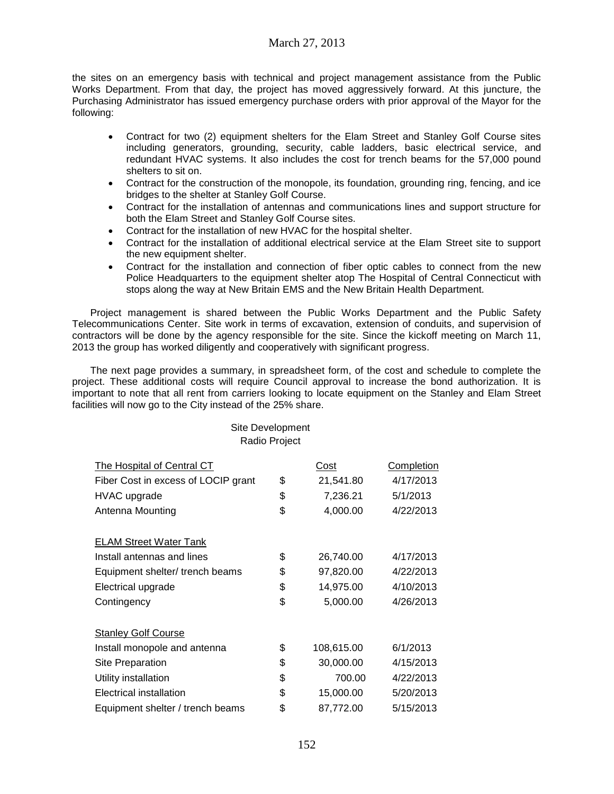# March 27, 2013

the sites on an emergency basis with technical and project management assistance from the Public Works Department. From that day, the project has moved aggressively forward. At this juncture, the Purchasing Administrator has issued emergency purchase orders with prior approval of the Mayor for the following:

- Contract for two (2) equipment shelters for the Elam Street and Stanley Golf Course sites including generators, grounding, security, cable ladders, basic electrical service, and redundant HVAC systems. It also includes the cost for trench beams for the 57,000 pound shelters to sit on.
- Contract for the construction of the monopole, its foundation, grounding ring, fencing, and ice bridges to the shelter at Stanley Golf Course.
- Contract for the installation of antennas and communications lines and support structure for both the Elam Street and Stanley Golf Course sites.
- Contract for the installation of new HVAC for the hospital shelter.
- Contract for the installation of additional electrical service at the Elam Street site to support the new equipment shelter.
- Contract for the installation and connection of fiber optic cables to connect from the new Police Headquarters to the equipment shelter atop The Hospital of Central Connecticut with stops along the way at New Britain EMS and the New Britain Health Department.

Project management is shared between the Public Works Department and the Public Safety Telecommunications Center. Site work in terms of excavation, extension of conduits, and supervision of contractors will be done by the agency responsible for the site. Since the kickoff meeting on March 11, 2013 the group has worked diligently and cooperatively with significant progress.

The next page provides a summary, in spreadsheet form, of the cost and schedule to complete the project. These additional costs will require Council approval to increase the bond authorization. It is important to note that all rent from carriers looking to locate equipment on the Stanley and Elam Street facilities will now go to the City instead of the 25% share.

| Radio Project                                           |    |                       |           |  |  |
|---------------------------------------------------------|----|-----------------------|-----------|--|--|
| The Hospital of Central CT<br><b>Completion</b><br>Cost |    |                       |           |  |  |
| Fiber Cost in excess of LOCIP grant                     | \$ | 21,541.80             | 4/17/2013 |  |  |
| HVAC upgrade                                            | \$ | 7,236.21              | 5/1/2013  |  |  |
| Antenna Mounting                                        | \$ | 4,000.00<br>4/22/2013 |           |  |  |
| <b>ELAM Street Water Tank</b>                           |    |                       |           |  |  |
| Install antennas and lines                              | \$ | 26,740.00             | 4/17/2013 |  |  |
| Equipment shelter/ trench beams                         | \$ | 97,820.00             | 4/22/2013 |  |  |
| Electrical upgrade                                      | \$ | 14,975.00             | 4/10/2013 |  |  |
| Contingency                                             | \$ | 5,000.00              | 4/26/2013 |  |  |
| <b>Stanley Golf Course</b>                              |    |                       |           |  |  |
| Install monopole and antenna                            | \$ | 108,615.00            | 6/1/2013  |  |  |
| Site Preparation                                        | \$ | 30,000.00             | 4/15/2013 |  |  |
| Utility installation                                    | \$ | 700.00                | 4/22/2013 |  |  |
| Electrical installation                                 | \$ | 15,000.00             | 5/20/2013 |  |  |
| Equipment shelter / trench beams                        | \$ | 87,772.00             | 5/15/2013 |  |  |

Site Development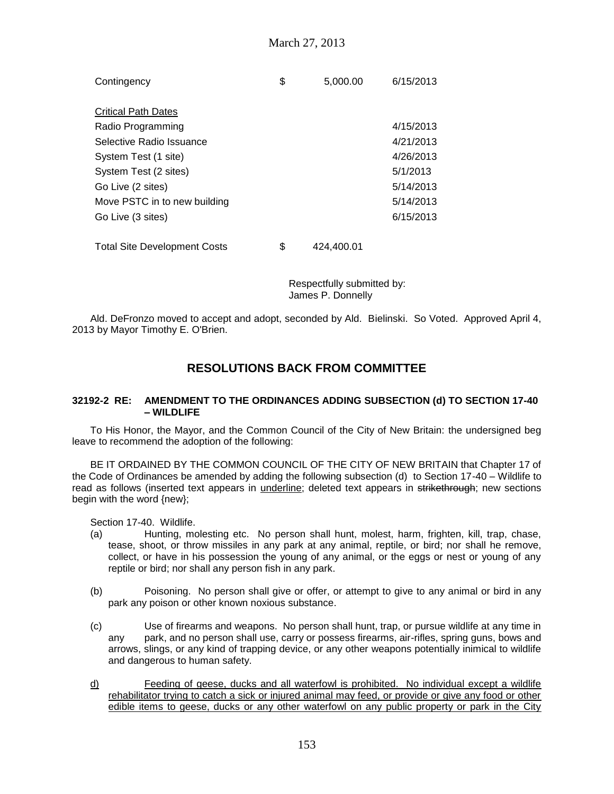| Contingency                         | \$<br>5,000.00   | 6/15/2013 |
|-------------------------------------|------------------|-----------|
| <b>Critical Path Dates</b>          |                  |           |
| Radio Programming                   |                  | 4/15/2013 |
| Selective Radio Issuance            |                  | 4/21/2013 |
| System Test (1 site)                |                  | 4/26/2013 |
| System Test (2 sites)               |                  | 5/1/2013  |
| Go Live (2 sites)                   |                  | 5/14/2013 |
| Move PSTC in to new building        |                  | 5/14/2013 |
| Go Live (3 sites)                   |                  | 6/15/2013 |
|                                     |                  |           |
| <b>Total Site Development Costs</b> | \$<br>424.400.01 |           |

Respectfully submitted by: James P. Donnelly

Ald. DeFronzo moved to accept and adopt, seconded by Ald. Bielinski. So Voted. Approved April 4, 2013 by Mayor Timothy E. O'Brien.

# **RESOLUTIONS BACK FROM COMMITTEE**

### **32192-2 RE: AMENDMENT TO THE ORDINANCES ADDING SUBSECTION (d) TO SECTION 17-40 – WILDLIFE**

To His Honor, the Mayor, and the Common Council of the City of New Britain: the undersigned beg leave to recommend the adoption of the following:

BE IT ORDAINED BY THE COMMON COUNCIL OF THE CITY OF NEW BRITAIN that Chapter 17 of the Code of Ordinances be amended by adding the following subsection (d) to Section 17-40 – Wildlife to read as follows (inserted text appears in underline; deleted text appears in strikethrough; new sections begin with the word {new};

Section 17-40. Wildlife.

- (a) Hunting, molesting etc. No person shall hunt, molest, harm, frighten, kill, trap, chase, tease, shoot, or throw missiles in any park at any animal, reptile, or bird; nor shall he remove, collect, or have in his possession the young of any animal, or the eggs or nest or young of any reptile or bird; nor shall any person fish in any park.
- (b) Poisoning. No person shall give or offer, or attempt to give to any animal or bird in any park any poison or other known noxious substance.
- (c) Use of firearms and weapons. No person shall hunt, trap, or pursue wildlife at any time in any park, and no person shall use, carry or possess firearms, air-rifles, spring guns, bows and arrows, slings, or any kind of trapping device, or any other weapons potentially inimical to wildlife and dangerous to human safety.
- d) Feeding of geese, ducks and all waterfowl is prohibited. No individual except a wildlife rehabilitator trying to catch a sick or injured animal may feed, or provide or give any food or other edible items to geese, ducks or any other waterfowl on any public property or park in the City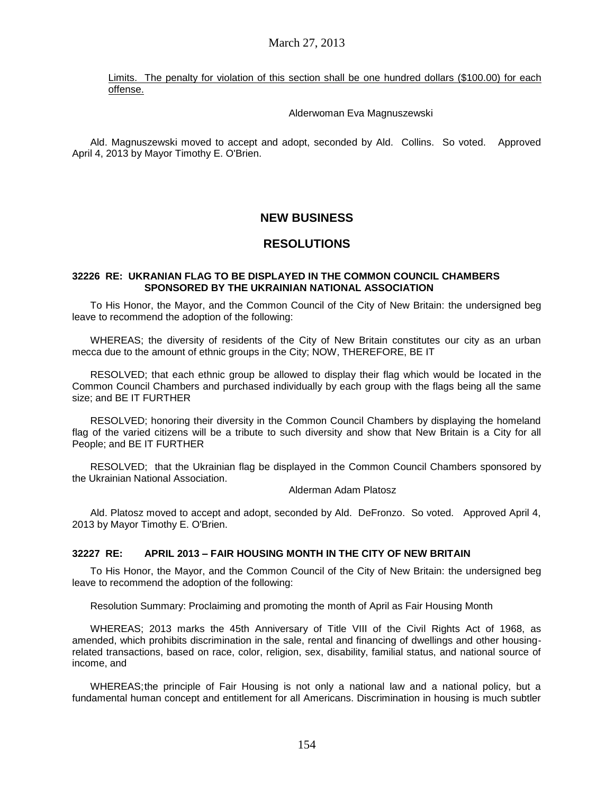Limits. The penalty for violation of this section shall be one hundred dollars (\$100.00) for each offense.

### Alderwoman Eva Magnuszewski

Ald. Magnuszewski moved to accept and adopt, seconded by Ald. Collins. So voted. Approved April 4, 2013 by Mayor Timothy E. O'Brien.

# **NEW BUSINESS**

# **RESOLUTIONS**

### **32226 RE: UKRANIAN FLAG TO BE DISPLAYED IN THE COMMON COUNCIL CHAMBERS SPONSORED BY THE UKRAINIAN NATIONAL ASSOCIATION**

To His Honor, the Mayor, and the Common Council of the City of New Britain: the undersigned beg leave to recommend the adoption of the following:

WHEREAS; the diversity of residents of the City of New Britain constitutes our city as an urban mecca due to the amount of ethnic groups in the City; NOW, THEREFORE, BE IT

RESOLVED; that each ethnic group be allowed to display their flag which would be located in the Common Council Chambers and purchased individually by each group with the flags being all the same size; and BE IT FURTHER

RESOLVED; honoring their diversity in the Common Council Chambers by displaying the homeland flag of the varied citizens will be a tribute to such diversity and show that New Britain is a City for all People; and BE IT FURTHER

RESOLVED; that the Ukrainian flag be displayed in the Common Council Chambers sponsored by the Ukrainian National Association.

Alderman Adam Platosz

Ald. Platosz moved to accept and adopt, seconded by Ald. DeFronzo. So voted. Approved April 4, 2013 by Mayor Timothy E. O'Brien.

## **32227 RE: APRIL 2013 – FAIR HOUSING MONTH IN THE CITY OF NEW BRITAIN**

To His Honor, the Mayor, and the Common Council of the City of New Britain: the undersigned beg leave to recommend the adoption of the following:

Resolution Summary: Proclaiming and promoting the month of April as Fair Housing Month

WHEREAS; 2013 marks the 45th Anniversary of Title VIII of the Civil Rights Act of 1968, as amended, which prohibits discrimination in the sale, rental and financing of dwellings and other housingrelated transactions, based on race, color, religion, sex, disability, familial status, and national source of income, and

WHEREAS;the principle of Fair Housing is not only a national law and a national policy, but a fundamental human concept and entitlement for all Americans. Discrimination in housing is much subtler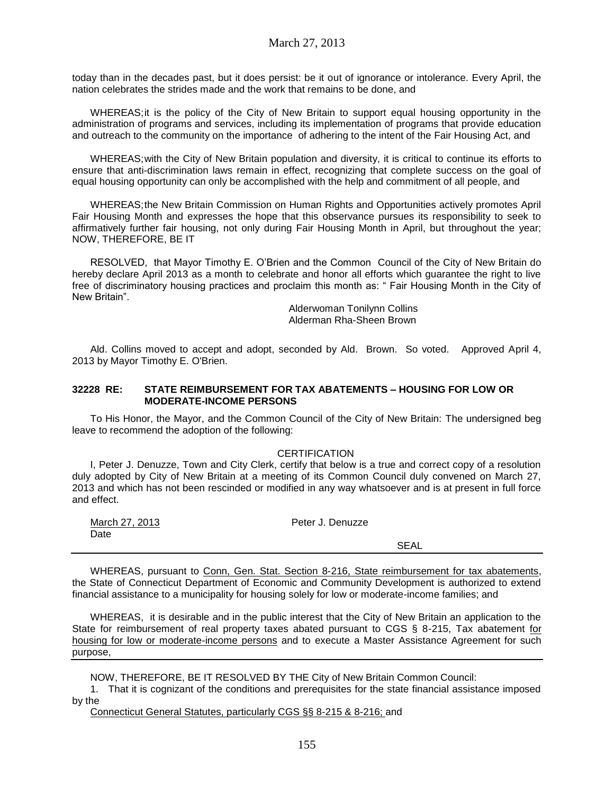today than in the decades past, but it does persist: be it out of ignorance or intolerance. Every April, the nation celebrates the strides made and the work that remains to be done, and

WHEREAS; it is the policy of the City of New Britain to support equal housing opportunity in the administration of programs and services, including its implementation of programs that provide education and outreach to the community on the importance of adhering to the intent of the Fair Housing Act, and

WHEREAS;with the City of New Britain population and diversity, it is critical to continue its efforts to ensure that anti-discrimination laws remain in effect, recognizing that complete success on the goal of equal housing opportunity can only be accomplished with the help and commitment of all people, and

WHEREAS;the New Britain Commission on Human Rights and Opportunities actively promotes April Fair Housing Month and expresses the hope that this observance pursues its responsibility to seek to affirmatively further fair housing, not only during Fair Housing Month in April, but throughout the year; NOW, THEREFORE, BE IT

RESOLVED, that Mayor Timothy E. O'Brien and the Common Council of the City of New Britain do hereby declare April 2013 as a month to celebrate and honor all efforts which guarantee the right to live free of discriminatory housing practices and proclaim this month as: " Fair Housing Month in the City of New Britain".

> Alderwoman Tonilynn Collins Alderman Rha-Sheen Brown

Ald. Collins moved to accept and adopt, seconded by Ald. Brown. So voted. Approved April 4, 2013 by Mayor Timothy E. O'Brien.

#### **32228 RE: STATE REIMBURSEMENT FOR TAX ABATEMENTS – HOUSING FOR LOW OR MODERATE-INCOME PERSONS**

To His Honor, the Mayor, and the Common Council of the City of New Britain: The undersigned beg leave to recommend the adoption of the following:

### **CERTIFICATION**

I, Peter J. Denuzze, Town and City Clerk, certify that below is a true and correct copy of a resolution duly adopted by City of New Britain at a meeting of its Common Council duly convened on March 27, 2013 and which has not been rescinded or modified in any way whatsoever and is at present in full force and effect.

| March 27, 2013 | Peter J. Denuzze |  |
|----------------|------------------|--|
| Date           |                  |  |
|                | <b>SEAL</b>      |  |

WHEREAS, pursuant to Conn, Gen. Stat. Section 8-216, State reimbursement for tax abatements, the State of Connecticut Department of Economic and Community Development is authorized to extend financial assistance to a municipality for housing solely for low or moderate-income families; and

WHEREAS, it is desirable and in the public interest that the City of New Britain an application to the State for reimbursement of real property taxes abated pursuant to CGS § 8-215, Tax abatement for housing for low or moderate-income persons and to execute a Master Assistance Agreement for such purpose,

NOW, THEREFORE, BE IT RESOLVED BY THE City of New Britain Common Council:

1. That it is cognizant of the conditions and prerequisites for the state financial assistance imposed by the

Connecticut General Statutes, particularly CGS §§ 8-215 & 8-216; and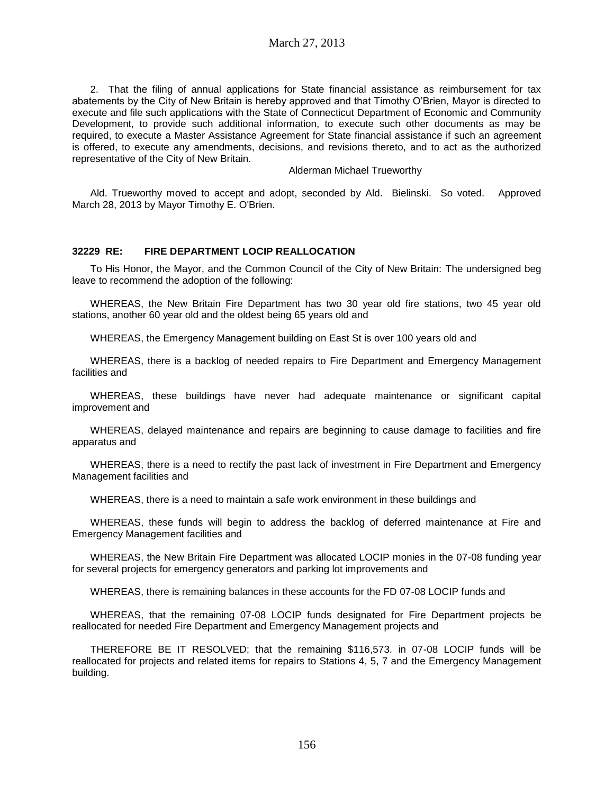2. That the filing of annual applications for State financial assistance as reimbursement for tax abatements by the City of New Britain is hereby approved and that Timothy O'Brien, Mayor is directed to execute and file such applications with the State of Connecticut Department of Economic and Community Development, to provide such additional information, to execute such other documents as may be required, to execute a Master Assistance Agreement for State financial assistance if such an agreement is offered, to execute any amendments, decisions, and revisions thereto, and to act as the authorized representative of the City of New Britain.

#### Alderman Michael Trueworthy

Ald. Trueworthy moved to accept and adopt, seconded by Ald. Bielinski. So voted. Approved March 28, 2013 by Mayor Timothy E. O'Brien.

### **32229 RE: FIRE DEPARTMENT LOCIP REALLOCATION**

To His Honor, the Mayor, and the Common Council of the City of New Britain: The undersigned beg leave to recommend the adoption of the following:

WHEREAS, the New Britain Fire Department has two 30 year old fire stations, two 45 year old stations, another 60 year old and the oldest being 65 years old and

WHEREAS, the Emergency Management building on East St is over 100 years old and

WHEREAS, there is a backlog of needed repairs to Fire Department and Emergency Management facilities and

WHEREAS, these buildings have never had adequate maintenance or significant capital improvement and

WHEREAS, delayed maintenance and repairs are beginning to cause damage to facilities and fire apparatus and

WHEREAS, there is a need to rectify the past lack of investment in Fire Department and Emergency Management facilities and

WHEREAS, there is a need to maintain a safe work environment in these buildings and

WHEREAS, these funds will begin to address the backlog of deferred maintenance at Fire and Emergency Management facilities and

WHEREAS, the New Britain Fire Department was allocated LOCIP monies in the 07-08 funding year for several projects for emergency generators and parking lot improvements and

WHEREAS, there is remaining balances in these accounts for the FD 07-08 LOCIP funds and

WHEREAS, that the remaining 07-08 LOCIP funds designated for Fire Department projects be reallocated for needed Fire Department and Emergency Management projects and

THEREFORE BE IT RESOLVED; that the remaining \$116,573. in 07-08 LOCIP funds will be reallocated for projects and related items for repairs to Stations 4, 5, 7 and the Emergency Management building.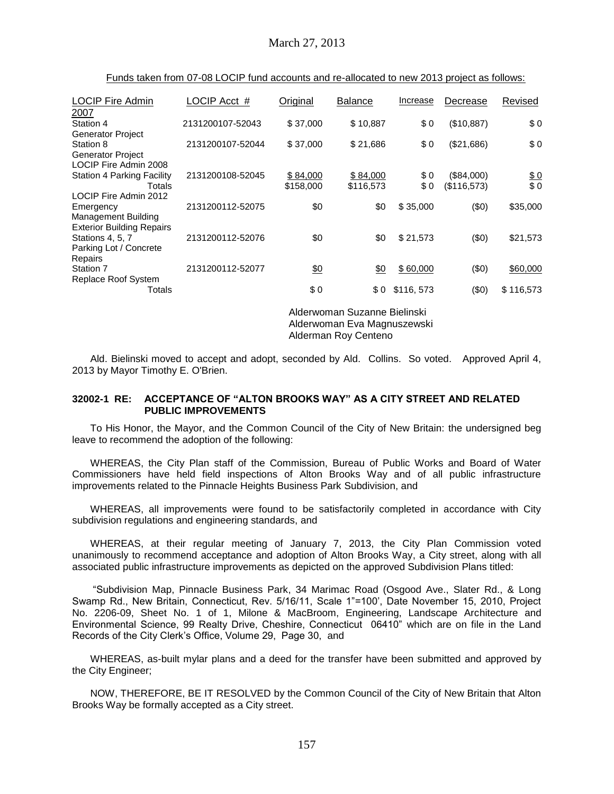| <b>LOCIP Fire Admin</b>                                 | LOCIP Acct #     | Original        | <b>Balance</b>               | Increase  | Decrease    | Revised         |
|---------------------------------------------------------|------------------|-----------------|------------------------------|-----------|-------------|-----------------|
| 2007                                                    |                  |                 |                              |           |             |                 |
| Station 4                                               | 2131200107-52043 | \$37,000        | \$10,887                     | \$0       | (\$10,887)  | \$0             |
| <b>Generator Project</b>                                |                  |                 |                              |           |             |                 |
| Station 8                                               | 2131200107-52044 | \$37,000        | \$21,686                     | \$0       | (\$21,686)  | \$0             |
| <b>Generator Project</b><br>LOCIP Fire Admin 2008       |                  |                 |                              |           |             |                 |
| <b>Station 4 Parking Facility</b>                       | 2131200108-52045 | \$84,000        | \$84,000                     | \$0       | (\$84,000)  |                 |
| Totals                                                  |                  | \$158,000       | \$116,573                    | \$0       | (\$116,573) | $\frac{$0}{$0}$ |
| LOCIP Fire Admin 2012                                   |                  |                 |                              |           |             |                 |
| Emergency                                               | 2131200112-52075 | \$0             | \$0                          | \$35,000  | (50)        | \$35,000        |
| Management Building<br><b>Exterior Building Repairs</b> |                  |                 |                              |           |             |                 |
| Stations 4, 5, 7                                        | 2131200112-52076 | \$0             | \$0                          | \$21,573  | (50)        | \$21,573        |
| Parking Lot / Concrete                                  |                  |                 |                              |           |             |                 |
| Repairs                                                 |                  |                 |                              |           |             |                 |
| Station 7                                               | 2131200112-52077 | $\frac{60}{20}$ | <u>\$0</u>                   | \$60,000  | (50)        | \$60,000        |
| Replace Roof System                                     |                  |                 |                              |           |             |                 |
| Totals                                                  |                  | \$0             | \$0                          | \$116,573 | (50)        | \$116,573       |
|                                                         |                  |                 | Alderweren Ou-sene Dielineld |           |             |                 |

Funds taken from 07-08 LOCIP fund accounts and re-allocated to new 2013 project as follows:

Alderwoman Suzanne Bielinski Alderwoman Eva Magnuszewski Alderman Roy Centeno

Ald. Bielinski moved to accept and adopt, seconded by Ald. Collins. So voted. Approved April 4, 2013 by Mayor Timothy E. O'Brien.

### **32002-1 RE: ACCEPTANCE OF "ALTON BROOKS WAY" AS A CITY STREET AND RELATED PUBLIC IMPROVEMENTS**

To His Honor, the Mayor, and the Common Council of the City of New Britain: the undersigned beg leave to recommend the adoption of the following:

WHEREAS, the City Plan staff of the Commission, Bureau of Public Works and Board of Water Commissioners have held field inspections of Alton Brooks Way and of all public infrastructure improvements related to the Pinnacle Heights Business Park Subdivision, and

WHEREAS, all improvements were found to be satisfactorily completed in accordance with City subdivision regulations and engineering standards, and

WHEREAS, at their regular meeting of January 7, 2013, the City Plan Commission voted unanimously to recommend acceptance and adoption of Alton Brooks Way, a City street, along with all associated public infrastructure improvements as depicted on the approved Subdivision Plans titled:

"Subdivision Map, Pinnacle Business Park, 34 Marimac Road (Osgood Ave., Slater Rd., & Long Swamp Rd., New Britain, Connecticut, Rev. 5/16/11, Scale 1"=100', Date November 15, 2010, Project No. 2206-09, Sheet No. 1 of 1, Milone & MacBroom, Engineering, Landscape Architecture and Environmental Science, 99 Realty Drive, Cheshire, Connecticut 06410" which are on file in the Land Records of the City Clerk's Office, Volume 29, Page 30, and

WHEREAS, as-built mylar plans and a deed for the transfer have been submitted and approved by the City Engineer;

NOW, THEREFORE, BE IT RESOLVED by the Common Council of the City of New Britain that Alton Brooks Way be formally accepted as a City street.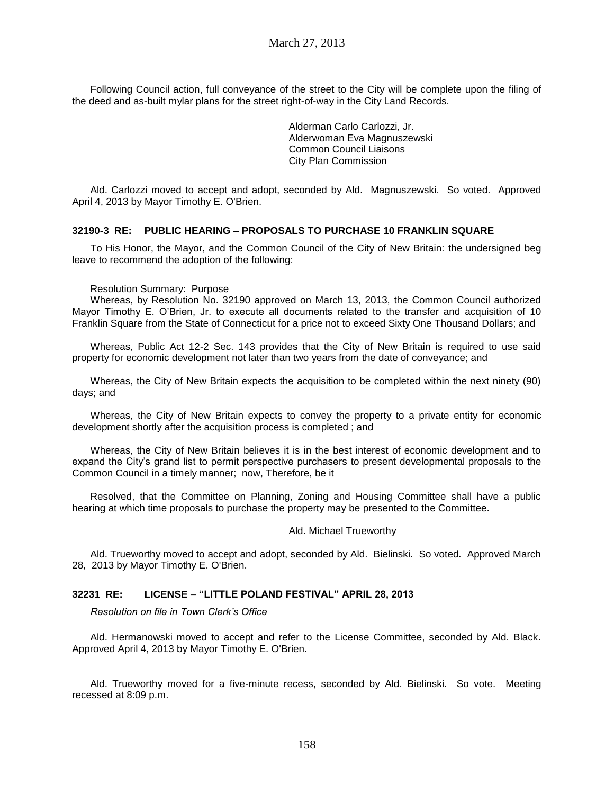Following Council action, full conveyance of the street to the City will be complete upon the filing of the deed and as-built mylar plans for the street right-of-way in the City Land Records.

> Alderman Carlo Carlozzi, Jr. Alderwoman Eva Magnuszewski Common Council Liaisons City Plan Commission

Ald. Carlozzi moved to accept and adopt, seconded by Ald. Magnuszewski. So voted. Approved April 4, 2013 by Mayor Timothy E. O'Brien.

#### **32190-3 RE: PUBLIC HEARING – PROPOSALS TO PURCHASE 10 FRANKLIN SQUARE**

To His Honor, the Mayor, and the Common Council of the City of New Britain: the undersigned beg leave to recommend the adoption of the following:

#### Resolution Summary: Purpose

Whereas, by Resolution No. 32190 approved on March 13, 2013, the Common Council authorized Mayor Timothy E. O'Brien, Jr. to execute all documents related to the transfer and acquisition of 10 Franklin Square from the State of Connecticut for a price not to exceed Sixty One Thousand Dollars; and

Whereas, Public Act 12-2 Sec. 143 provides that the City of New Britain is required to use said property for economic development not later than two years from the date of conveyance; and

Whereas, the City of New Britain expects the acquisition to be completed within the next ninety (90) days; and

Whereas, the City of New Britain expects to convey the property to a private entity for economic development shortly after the acquisition process is completed ; and

Whereas, the City of New Britain believes it is in the best interest of economic development and to expand the City's grand list to permit perspective purchasers to present developmental proposals to the Common Council in a timely manner; now, Therefore, be it

Resolved, that the Committee on Planning, Zoning and Housing Committee shall have a public hearing at which time proposals to purchase the property may be presented to the Committee.

#### Ald. Michael Trueworthy

Ald. Trueworthy moved to accept and adopt, seconded by Ald. Bielinski. So voted. Approved March 28, 2013 by Mayor Timothy E. O'Brien.

#### **32231 RE: LICENSE – "LITTLE POLAND FESTIVAL" APRIL 28, 2013**

*Resolution on file in Town Clerk's Office*

Ald. Hermanowski moved to accept and refer to the License Committee, seconded by Ald. Black. Approved April 4, 2013 by Mayor Timothy E. O'Brien.

Ald. Trueworthy moved for a five-minute recess, seconded by Ald. Bielinski. So vote. Meeting recessed at 8:09 p.m.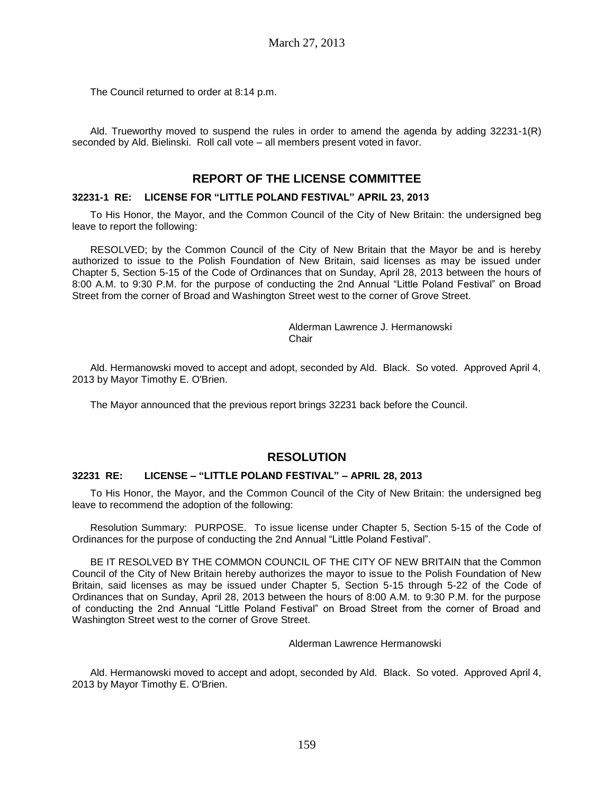The Council returned to order at 8:14 p.m.

Ald. Trueworthy moved to suspend the rules in order to amend the agenda by adding 32231-1(R) seconded by Ald. Bielinski. Roll call vote – all members present voted in favor.

# **REPORT OF THE LICENSE COMMITTEE**

### **32231-1 RE: LICENSE FOR "LITTLE POLAND FESTIVAL" APRIL 23, 2013**

To His Honor, the Mayor, and the Common Council of the City of New Britain: the undersigned beg leave to report the following:

RESOLVED; by the Common Council of the City of New Britain that the Mayor be and is hereby authorized to issue to the Polish Foundation of New Britain, said licenses as may be issued under Chapter 5, Section 5-15 of the Code of Ordinances that on Sunday, April 28, 2013 between the hours of 8:00 A.M. to 9:30 P.M. for the purpose of conducting the 2nd Annual "Little Poland Festival" on Broad Street from the corner of Broad and Washington Street west to the corner of Grove Street.

#### Alderman Lawrence J. Hermanowski **Chair**

Ald. Hermanowski moved to accept and adopt, seconded by Ald. Black. So voted. Approved April 4, 2013 by Mayor Timothy E. O'Brien.

The Mayor announced that the previous report brings 32231 back before the Council.

# **RESOLUTION**

### **32231 RE: LICENSE – "LITTLE POLAND FESTIVAL" – APRIL 28, 2013**

To His Honor, the Mayor, and the Common Council of the City of New Britain: the undersigned beg leave to recommend the adoption of the following:

Resolution Summary: PURPOSE. To issue license under Chapter 5, Section 5-15 of the Code of Ordinances for the purpose of conducting the 2nd Annual "Little Poland Festival".

BE IT RESOLVED BY THE COMMON COUNCIL OF THE CITY OF NEW BRITAIN that the Common Council of the City of New Britain hereby authorizes the mayor to issue to the Polish Foundation of New Britain, said licenses as may be issued under Chapter 5, Section 5-15 through 5-22 of the Code of Ordinances that on Sunday, April 28, 2013 between the hours of 8:00 A.M. to 9:30 P.M. for the purpose of conducting the 2nd Annual "Little Poland Festival" on Broad Street from the corner of Broad and Washington Street west to the corner of Grove Street.

Alderman Lawrence Hermanowski

Ald. Hermanowski moved to accept and adopt, seconded by Ald. Black. So voted. Approved April 4, 2013 by Mayor Timothy E. O'Brien.